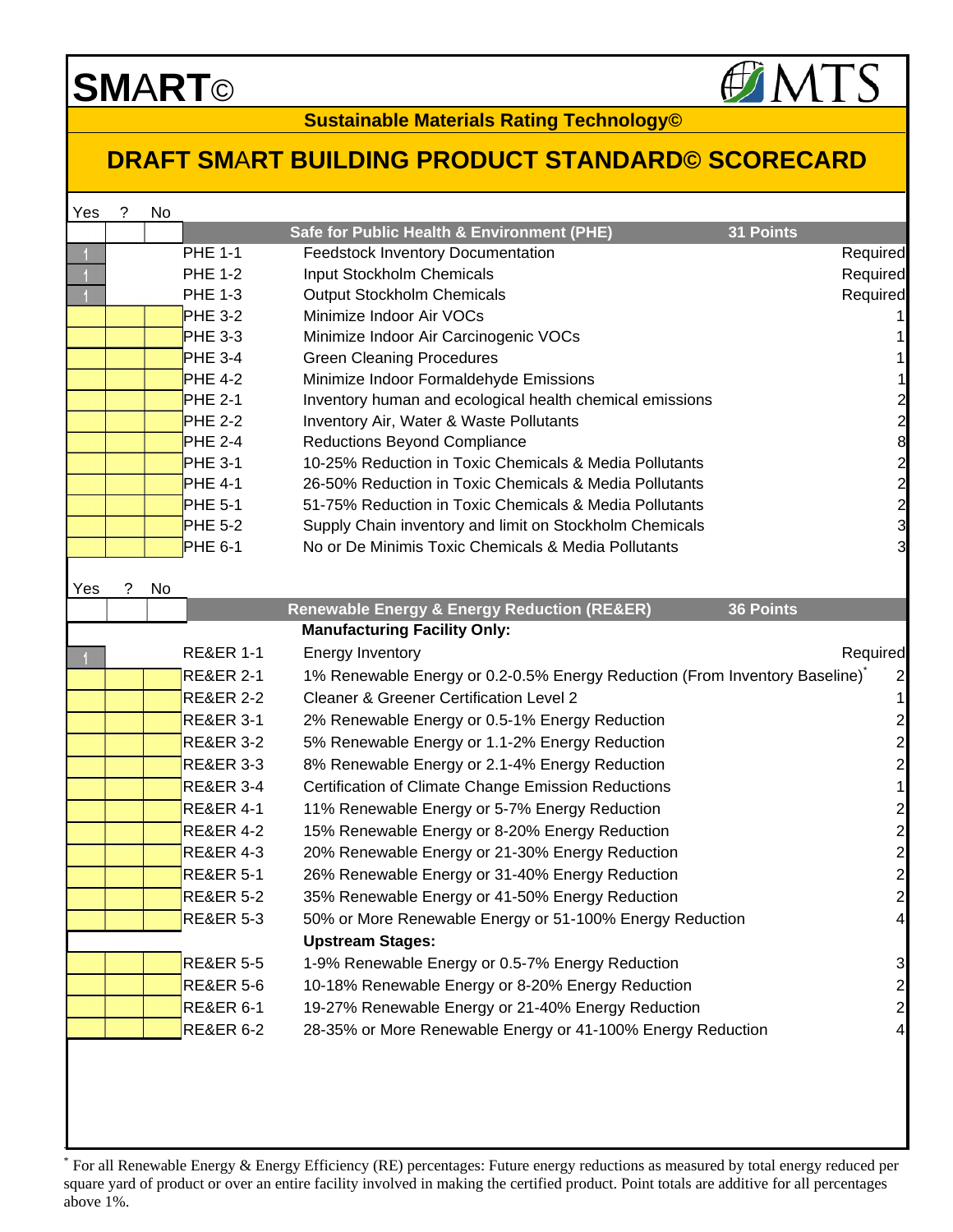## **SM**A**RT**©

 $\overline{\phantom{a}}$ 

**Sustainable Materials Rating Technology©**

## **DRAFT SM**A**RT BUILDING PRODUCT STANDARD© SCORECARD**

| Yes | ? | No |                      |                                                                            |                                            |
|-----|---|----|----------------------|----------------------------------------------------------------------------|--------------------------------------------|
|     |   |    |                      | Safe for Public Health & Environment (PHE)<br>31 Points                    |                                            |
|     |   |    | <b>PHE 1-1</b>       | <b>Feedstock Inventory Documentation</b>                                   | Required                                   |
|     |   |    | <b>PHE 1-2</b>       | Input Stockholm Chemicals                                                  | Required                                   |
|     |   |    | <b>PHE 1-3</b>       | Output Stockholm Chemicals                                                 | Required                                   |
|     |   |    | <b>PHE 3-2</b>       | Minimize Indoor Air VOCs                                                   |                                            |
|     |   |    | <b>PHE 3-3</b>       | Minimize Indoor Air Carcinogenic VOCs                                      |                                            |
|     |   |    | <b>PHE 3-4</b>       | <b>Green Cleaning Procedures</b>                                           |                                            |
|     |   |    | <b>PHE 4-2</b>       | Minimize Indoor Formaldehyde Emissions                                     |                                            |
|     |   |    | <b>PHE 2-1</b>       | Inventory human and ecological health chemical emissions                   | $\begin{array}{c} 2 \\ 2 \\ 8 \end{array}$ |
|     |   |    | <b>PHE 2-2</b>       | Inventory Air, Water & Waste Pollutants                                    |                                            |
|     |   |    | <b>PHE 2-4</b>       | <b>Reductions Beyond Compliance</b>                                        |                                            |
|     |   |    | <b>PHE 3-1</b>       | 10-25% Reduction in Toxic Chemicals & Media Pollutants                     |                                            |
|     |   |    | <b>PHE 4-1</b>       | 26-50% Reduction in Toxic Chemicals & Media Pollutants                     |                                            |
|     |   |    | <b>PHE 5-1</b>       | 51-75% Reduction in Toxic Chemicals & Media Pollutants                     |                                            |
|     |   |    | <b>PHE 5-2</b>       | Supply Chain inventory and limit on Stockholm Chemicals                    | $292$ $292$                                |
|     |   |    | PHE 6-1              | No or De Minimis Toxic Chemicals & Media Pollutants                        |                                            |
| Yes | ? | No |                      |                                                                            |                                            |
|     |   |    |                      | 36 Points<br><b>Renewable Energy &amp; Energy Reduction (RE&amp;ER)</b>    |                                            |
|     |   |    |                      | <b>Manufacturing Facility Only:</b>                                        |                                            |
|     |   |    | <b>RE&amp;ER 1-1</b> | <b>Energy Inventory</b>                                                    | Required                                   |
|     |   |    | <b>RE&amp;ER 2-1</b> | 1% Renewable Energy or 0.2-0.5% Energy Reduction (From Inventory Baseline) | $\overline{\mathbf{c}}$                    |
|     |   |    | <b>RE&amp;ER 2-2</b> | <b>Cleaner &amp; Greener Certification Level 2</b>                         | 1                                          |
|     |   |    | <b>RE&amp;ER 3-1</b> | 2% Renewable Energy or 0.5-1% Energy Reduction                             | $\overline{\mathbf{c}}$                    |
|     |   |    | <b>RE&amp;ER 3-2</b> | 5% Renewable Energy or 1.1-2% Energy Reduction                             | $\overline{\mathbf{c}}$                    |
|     |   |    | <b>RE&amp;ER 3-3</b> | 8% Renewable Energy or 2.1-4% Energy Reduction                             | $\overline{c}$                             |
|     |   |    | <b>RE&amp;ER 3-4</b> | <b>Certification of Climate Change Emission Reductions</b>                 | 1                                          |
|     |   |    | <b>RE&amp;ER 4-1</b> | 11% Renewable Energy or 5-7% Energy Reduction                              | $\overline{\mathbf{c}}$                    |
|     |   |    | <b>RE&amp;ER 4-2</b> | 15% Renewable Energy or 8-20% Energy Reduction                             | $\overline{c}$                             |
|     |   |    | <b>RE&amp;ER 4-3</b> | 20% Renewable Energy or 21-30% Energy Reduction                            | $\overline{\mathbf{c}}$                    |
|     |   |    | <b>RE&amp;ER 5-1</b> | 26% Renewable Energy or 31-40% Energy Reduction                            | $\overline{c}$                             |
|     |   |    | <b>RE&amp;ER 5-2</b> | 35% Renewable Energy or 41-50% Energy Reduction                            | $\mathbf{2}$                               |
|     |   |    | <b>RE&amp;ER 5-3</b> | 50% or More Renewable Energy or 51-100% Energy Reduction                   | $\vert 4 \vert$                            |
|     |   |    |                      | <b>Upstream Stages:</b>                                                    |                                            |
|     |   |    | <b>RE&amp;ER 5-5</b> | 1-9% Renewable Energy or 0.5-7% Energy Reduction                           | 3                                          |
|     |   |    | <b>RE&amp;ER 5-6</b> | 10-18% Renewable Energy or 8-20% Energy Reduction                          | $\overline{\mathbf{c}}$                    |
|     |   |    | <b>RE&amp;ER 6-1</b> | 19-27% Renewable Energy or 21-40% Energy Reduction                         | $\overline{\mathbf{c}}$                    |
|     |   |    | <b>RE&amp;ER 6-2</b> | 28-35% or More Renewable Energy or 41-100% Energy Reduction                | 4                                          |
|     |   |    |                      |                                                                            |                                            |
|     |   |    |                      |                                                                            |                                            |
|     |   |    |                      |                                                                            |                                            |
|     |   |    |                      |                                                                            |                                            |

<sup>\*</sup> For all Renewable Energy & Energy Efficiency (RE) percentages: Future energy reductions as measured by total energy reduced per square yard of product or over an entire facility involved in making the certified product. Point totals are additive for all percentages above 1%.